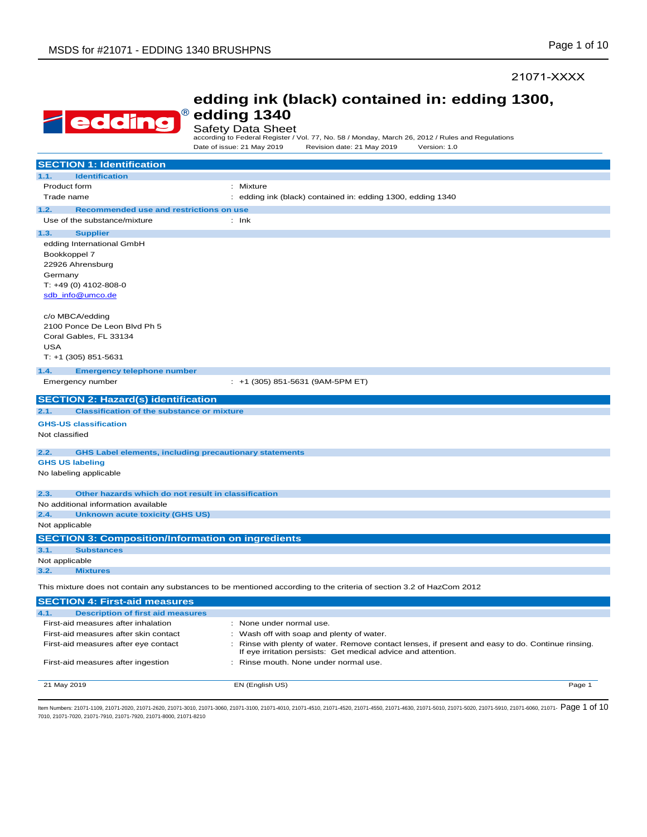#### 21071-XXXX

|--|

### **edding ink (black) contained in: edding 1300, edding 1340**

Safety Data Sheet

according to Federal Register / Vol. 77, No. 58 / Monday, March 26, 2012 / Rules and Regulations Date of issue: 21 May 2019 Revision date: 21 May 2019 Version: 1.0

| <b>SECTION 1: Identification</b>                                      |                                                                                                                                                                    |
|-----------------------------------------------------------------------|--------------------------------------------------------------------------------------------------------------------------------------------------------------------|
| <b>Identification</b><br>1.1.                                         |                                                                                                                                                                    |
| Product form                                                          | : Mixture                                                                                                                                                          |
| Trade name                                                            | : edding ink (black) contained in: edding 1300, edding 1340                                                                                                        |
| 1.2.<br>Recommended use and restrictions on use                       |                                                                                                                                                                    |
| Use of the substance/mixture                                          | $:$ Ink                                                                                                                                                            |
| 1.3.<br><b>Supplier</b>                                               |                                                                                                                                                                    |
| edding International GmbH                                             |                                                                                                                                                                    |
| Bookkoppel 7                                                          |                                                                                                                                                                    |
| 22926 Ahrensburg                                                      |                                                                                                                                                                    |
| Germany                                                               |                                                                                                                                                                    |
| $T: +49(0) 4102-808-0$                                                |                                                                                                                                                                    |
| sdb info@umco.de                                                      |                                                                                                                                                                    |
| c/o MBCA/edding                                                       |                                                                                                                                                                    |
| 2100 Ponce De Leon Blvd Ph 5                                          |                                                                                                                                                                    |
| Coral Gables, FL 33134                                                |                                                                                                                                                                    |
| <b>USA</b>                                                            |                                                                                                                                                                    |
| $T: +1$ (305) 851-5631                                                |                                                                                                                                                                    |
| 1.4.<br><b>Emergency telephone number</b>                             |                                                                                                                                                                    |
| Emergency number                                                      | $: +1$ (305) 851-5631 (9AM-5PM ET)                                                                                                                                 |
| <b>SECTION 2: Hazard(s) identification</b>                            |                                                                                                                                                                    |
| <b>Classification of the substance or mixture</b><br>2.1.             |                                                                                                                                                                    |
| <b>GHS-US classification</b>                                          |                                                                                                                                                                    |
| Not classified                                                        |                                                                                                                                                                    |
| <b>GHS Label elements, including precautionary statements</b><br>2.2. |                                                                                                                                                                    |
| <b>GHS US labeling</b>                                                |                                                                                                                                                                    |
| No labeling applicable                                                |                                                                                                                                                                    |
| 2.3.<br>Other hazards which do not result in classification           |                                                                                                                                                                    |
| No additional information available                                   |                                                                                                                                                                    |
| 2.4.<br><b>Unknown acute toxicity (GHS US)</b>                        |                                                                                                                                                                    |
| Not applicable                                                        |                                                                                                                                                                    |
| <b>SECTION 3: Composition/Information on ingredients</b>              |                                                                                                                                                                    |
| 3.1.<br><b>Substances</b>                                             |                                                                                                                                                                    |
| Not applicable                                                        |                                                                                                                                                                    |
| 3.2.<br><b>Mixtures</b>                                               |                                                                                                                                                                    |
|                                                                       | This mixture does not contain any substances to be mentioned according to the criteria of section 3.2 of HazCom 2012                                               |
| <b>SECTION 4: First-aid measures</b>                                  |                                                                                                                                                                    |
| 4.1.<br><b>Description of first aid measures</b>                      |                                                                                                                                                                    |
| First-aid measures after inhalation                                   | : None under normal use.                                                                                                                                           |
| First-aid measures after skin contact                                 | Wash off with soap and plenty of water.<br>÷                                                                                                                       |
| First-aid measures after eye contact                                  | : Rinse with plenty of water. Remove contact lenses, if present and easy to do. Continue rinsing.<br>If eye irritation persists: Get medical advice and attention. |
| First-aid measures after ingestion                                    | : Rinse mouth. None under normal use.                                                                                                                              |

ltem Numbers: 21071-1109, 21071-2020, 21071-2620, 21071-3010, 21071-3100, 21071-4010, 21071-4510, 21071-4520, 21071-4550, 21071-4500, 21071-4500, 21071-5020, 21071-4500, 21071-5020, 21071-6030, 21071-6080, 21071-6020, 2107 7010, 21071-7020, 21071-7910, 21071-7920, 21071-8000, 21071-8210

21 May 2019 EN (English US) Page 1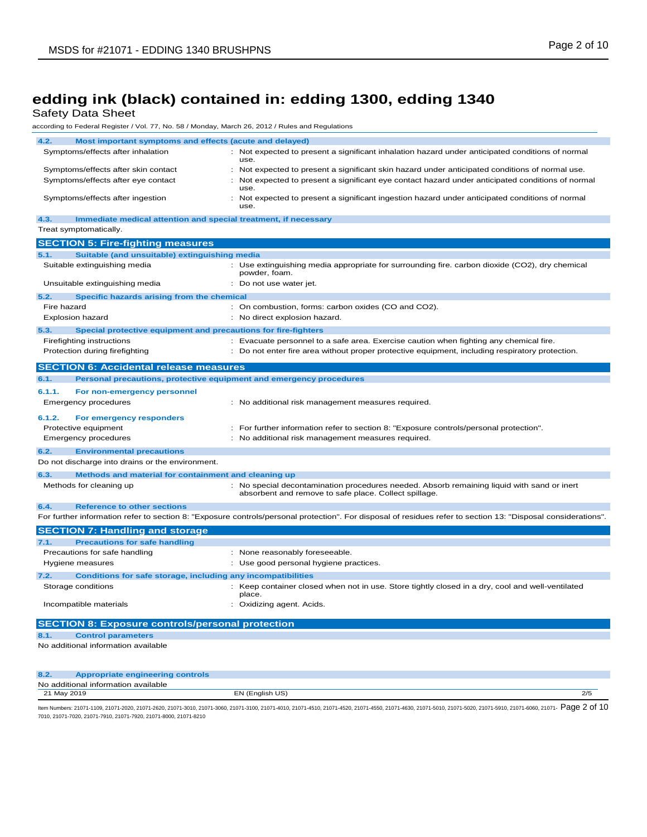Safety Data Sheet

| according to Federal Register / Vol. 77, No. 58 / Monday, March 26, 2012 / Rules and Regulations |                                                                                                                                                               |
|--------------------------------------------------------------------------------------------------|---------------------------------------------------------------------------------------------------------------------------------------------------------------|
| 4.2.<br>Most important symptoms and effects (acute and delayed)                                  |                                                                                                                                                               |
| Symptoms/effects after inhalation                                                                | Not expected to present a significant inhalation hazard under anticipated conditions of normal<br>use.                                                        |
| Symptoms/effects after skin contact                                                              | : Not expected to present a significant skin hazard under anticipated conditions of normal use.                                                               |
| Symptoms/effects after eye contact                                                               | Not expected to present a significant eye contact hazard under anticipated conditions of normal<br>use.                                                       |
| Symptoms/effects after ingestion                                                                 | Not expected to present a significant ingestion hazard under anticipated conditions of normal<br>use.                                                         |
| 4.3.<br>Immediate medical attention and special treatment, if necessary                          |                                                                                                                                                               |
| Treat symptomatically.                                                                           |                                                                                                                                                               |
| <b>SECTION 5: Fire-fighting measures</b>                                                         |                                                                                                                                                               |
| 5.1.<br>Suitable (and unsuitable) extinguishing media                                            |                                                                                                                                                               |
| Suitable extinguishing media                                                                     | : Use extinguishing media appropriate for surrounding fire. carbon dioxide (CO2), dry chemical<br>powder, foam.                                               |
| Unsuitable extinguishing media                                                                   | : Do not use water jet.                                                                                                                                       |
| 5.2.<br>Specific hazards arising from the chemical                                               |                                                                                                                                                               |
| Fire hazard                                                                                      | : On combustion, forms: carbon oxides (CO and CO2).                                                                                                           |
| <b>Explosion hazard</b>                                                                          | : No direct explosion hazard.                                                                                                                                 |
| 5.3.<br>Special protective equipment and precautions for fire-fighters                           |                                                                                                                                                               |
| Firefighting instructions                                                                        | : Evacuate personnel to a safe area. Exercise caution when fighting any chemical fire.                                                                        |
| Protection during firefighting                                                                   | : Do not enter fire area without proper protective equipment, including respiratory protection.                                                               |
| <b>SECTION 6: Accidental release measures</b>                                                    |                                                                                                                                                               |
| 6.1.<br>Personal precautions, protective equipment and emergency procedures                      |                                                                                                                                                               |
|                                                                                                  |                                                                                                                                                               |
| 6.1.1.<br>For non-emergency personnel<br><b>Emergency procedures</b>                             | : No additional risk management measures required.                                                                                                            |
| 6.1.2.<br>For emergency responders                                                               |                                                                                                                                                               |
| Protective equipment                                                                             | : For further information refer to section 8: "Exposure controls/personal protection".                                                                        |
| <b>Emergency procedures</b>                                                                      | : No additional risk management measures required.                                                                                                            |
| 6.2.<br><b>Environmental precautions</b>                                                         |                                                                                                                                                               |
| Do not discharge into drains or the environment.                                                 |                                                                                                                                                               |
| 6.3.<br>Methods and material for containment and cleaning up                                     |                                                                                                                                                               |
| Methods for cleaning up                                                                          | : No special decontamination procedures needed. Absorb remaining liquid with sand or inert<br>absorbent and remove to safe place. Collect spillage.           |
| 6.4.<br><b>Reference to other sections</b>                                                       |                                                                                                                                                               |
|                                                                                                  | For further information refer to section 8: "Exposure controls/personal protection". For disposal of residues refer to section 13: "Disposal considerations". |
| <b>SECTION 7: Handling and storage</b>                                                           |                                                                                                                                                               |
| 7.1.<br><b>Precautions for safe handling</b>                                                     |                                                                                                                                                               |
| Precautions for safe handling                                                                    | : None reasonably foreseeable.                                                                                                                                |
| Hygiene measures                                                                                 | : Use good personal hygiene practices.                                                                                                                        |
| <b>Conditions for safe storage, including any incompatibilities</b><br>7.2.                      |                                                                                                                                                               |
| Storage conditions                                                                               | : Keep container closed when not in use. Store tightly closed in a dry, cool and well-ventilated<br>place.                                                    |
| Incompatible materials                                                                           | : Oxidizing agent. Acids.                                                                                                                                     |
| <b>SECTION 8: Exposure controls/personal protection</b>                                          |                                                                                                                                                               |
| 8.1.<br><b>Control parameters</b>                                                                |                                                                                                                                                               |
| No additional information available                                                              |                                                                                                                                                               |
|                                                                                                  |                                                                                                                                                               |
| <b>Appropriate engineering controls</b><br>8.2.                                                  |                                                                                                                                                               |
| No additional information available                                                              |                                                                                                                                                               |

ltem Numbers: 21071-1109, 21071-2020, 21071-2620, 21071-3010, 21071-3100, 21071-4010, 21071-4510, 21071-4520, 21071-4550, 21071-4500, 21071-4500, 21071-5020, 21071-4500, 21071-5910, 21071-6080, 21071-6080, 21071-6020, 2107 7010, 21071-7020, 21071-7910, 21071-7920, 21071-8000, 21071-8210

21 May 2019 EN (English US) 2/5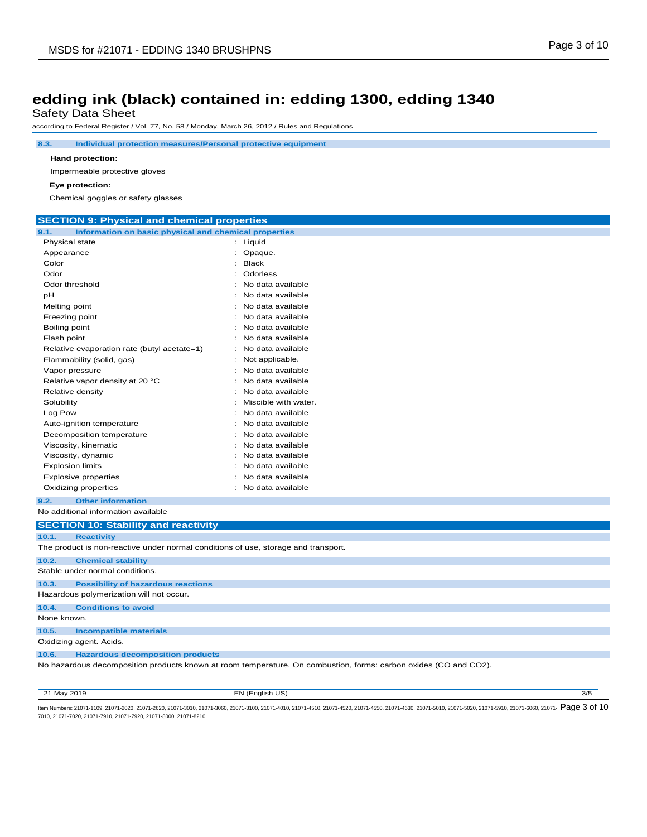Safety Data Sheet

according to Federal Register / Vol. 77, No. 58 / Monday, March 26, 2012 / Rules and Regulations

**8.3. Individual protection measures/Personal protective equipment**

#### **Hand protection:**

Impermeable protective gloves

#### **Eye protection:**

Chemical goggles or safety glasses

| <b>SECTION 9: Physical and chemical properties</b>                                 |                                                                                                                  |
|------------------------------------------------------------------------------------|------------------------------------------------------------------------------------------------------------------|
| 9.1.<br>Information on basic physical and chemical properties                      |                                                                                                                  |
| Physical state                                                                     | : Liquid                                                                                                         |
| Appearance                                                                         | : Opaque.                                                                                                        |
| Color                                                                              | $:$ Black                                                                                                        |
| Odor                                                                               | Odorless                                                                                                         |
| Odor threshold                                                                     | : No data available                                                                                              |
| pH                                                                                 | No data available                                                                                                |
| Melting point                                                                      | No data available                                                                                                |
| Freezing point                                                                     | No data available                                                                                                |
| Boiling point                                                                      | No data available                                                                                                |
| Flash point                                                                        | : No data available                                                                                              |
| Relative evaporation rate (butyl acetate=1)                                        | No data available                                                                                                |
| Flammability (solid, gas)                                                          | : Not applicable.                                                                                                |
| Vapor pressure                                                                     | : No data available                                                                                              |
| Relative vapor density at 20 °C                                                    | No data available                                                                                                |
| Relative density                                                                   | : No data available                                                                                              |
| Solubility                                                                         | Miscible with water.                                                                                             |
| Log Pow                                                                            | : No data available                                                                                              |
| Auto-ignition temperature                                                          | No data available                                                                                                |
| Decomposition temperature                                                          | : No data available                                                                                              |
| Viscosity, kinematic                                                               | No data available                                                                                                |
| Viscosity, dynamic                                                                 | No data available                                                                                                |
| <b>Explosion limits</b>                                                            | : No data available                                                                                              |
| <b>Explosive properties</b>                                                        | No data available                                                                                                |
| Oxidizing properties                                                               | : No data available                                                                                              |
| <b>Other information</b><br>9.2.                                                   |                                                                                                                  |
| No additional information available                                                |                                                                                                                  |
| <b>SECTION 10: Stability and reactivity</b>                                        |                                                                                                                  |
| 10.1.<br><b>Reactivity</b>                                                         |                                                                                                                  |
| The product is non-reactive under normal conditions of use, storage and transport. |                                                                                                                  |
| 10.2.<br><b>Chemical stability</b>                                                 |                                                                                                                  |
| Stable under normal conditions.                                                    |                                                                                                                  |
| 10.3.<br><b>Possibility of hazardous reactions</b>                                 |                                                                                                                  |
| Hazardous polymerization will not occur.                                           |                                                                                                                  |
| 10.4.<br><b>Conditions to avoid</b>                                                |                                                                                                                  |
| None known.                                                                        |                                                                                                                  |
| <b>Incompatible materials</b><br>10.5.                                             |                                                                                                                  |
| Oxidizing agent. Acids.                                                            |                                                                                                                  |
| <b>Hazardous decomposition products</b><br>10.6.                                   |                                                                                                                  |
|                                                                                    | No hazardous decomposition products known at room temperature. On combustion, forms: carbon oxides (CO and CO2). |

21 May 2019 EN (English US) 3/5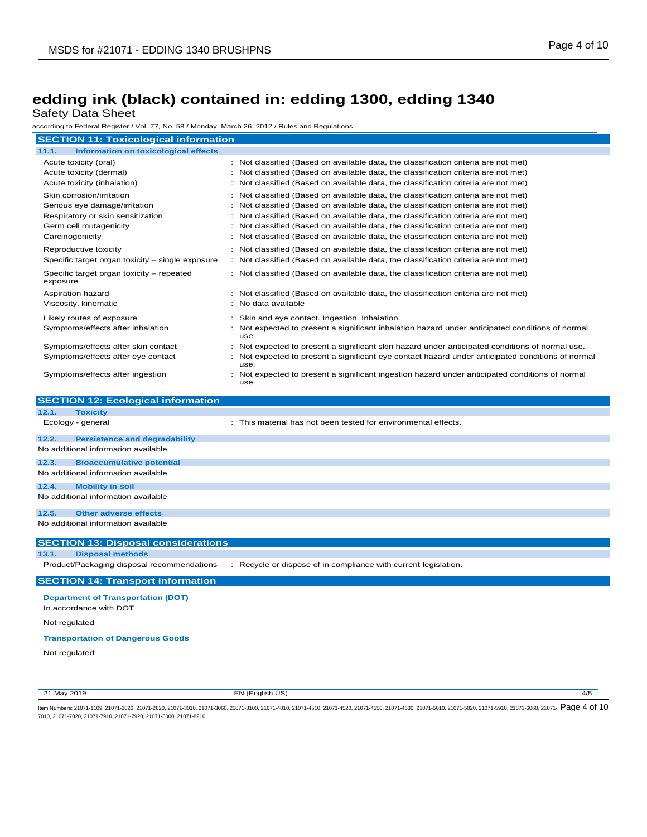Safety Data Sheet

according to Federal Register / Vol. 77, No. 58 / Monday, March 26, 2012 / Rules and Regulations

| <b>SECTION 11: Toxicological information</b>                   |                                                                                                                                                                            |
|----------------------------------------------------------------|----------------------------------------------------------------------------------------------------------------------------------------------------------------------------|
| <b>Information on toxicological effects</b><br>11.1.           |                                                                                                                                                                            |
|                                                                |                                                                                                                                                                            |
| Acute toxicity (oral)<br>Acute toxicity (dermal)               | : Not classified (Based on available data, the classification criteria are not met)<br>: Not classified (Based on available data, the classification criteria are not met) |
| Acute toxicity (inhalation)                                    | : Not classified (Based on available data, the classification criteria are not met)                                                                                        |
| Skin corrosion/irritation                                      | : Not classified (Based on available data, the classification criteria are not met)                                                                                        |
| Serious eye damage/irritation                                  | Not classified (Based on available data, the classification criteria are not met)                                                                                          |
| Respiratory or skin sensitization                              | : Not classified (Based on available data, the classification criteria are not met)                                                                                        |
| Germ cell mutagenicity                                         | Not classified (Based on available data, the classification criteria are not met)<br>÷                                                                                     |
| Carcinogenicity                                                | : Not classified (Based on available data, the classification criteria are not met)                                                                                        |
| Reproductive toxicity                                          | : Not classified (Based on available data, the classification criteria are not met)                                                                                        |
| Specific target organ toxicity - single exposure               | : Not classified (Based on available data, the classification criteria are not met)                                                                                        |
| Specific target organ toxicity - repeated<br>exposure          | : Not classified (Based on available data, the classification criteria are not met)                                                                                        |
| Aspiration hazard                                              | : Not classified (Based on available data, the classification criteria are not met)                                                                                        |
| Viscosity, kinematic                                           | No data available<br>÷                                                                                                                                                     |
|                                                                |                                                                                                                                                                            |
| Likely routes of exposure<br>Symptoms/effects after inhalation | Skin and eye contact. Ingestion. Inhalation.<br>$\ddot{\phantom{a}}$<br>: Not expected to present a significant inhalation hazard under anticipated conditions of normal   |
|                                                                | use.                                                                                                                                                                       |
| Symptoms/effects after skin contact                            | Not expected to present a significant skin hazard under anticipated conditions of normal use.                                                                              |
| Symptoms/effects after eye contact                             | Not expected to present a significant eye contact hazard under anticipated conditions of normal<br>use.                                                                    |
| Symptoms/effects after ingestion                               | Not expected to present a significant ingestion hazard under anticipated conditions of normal                                                                              |
|                                                                | use.                                                                                                                                                                       |
|                                                                |                                                                                                                                                                            |
|                                                                |                                                                                                                                                                            |
| <b>SECTION 12: Ecological information</b>                      |                                                                                                                                                                            |
| 12.1.<br><b>Toxicity</b><br>Ecology - general                  | : This material has not been tested for environmental effects.                                                                                                             |
|                                                                |                                                                                                                                                                            |
| 12.2.<br><b>Persistence and degradability</b>                  |                                                                                                                                                                            |
| No additional information available                            |                                                                                                                                                                            |
| 12.3.<br><b>Bioaccumulative potential</b>                      |                                                                                                                                                                            |
| No additional information available                            |                                                                                                                                                                            |
| 12.4.<br><b>Mobility in soil</b>                               |                                                                                                                                                                            |
| No additional information available                            |                                                                                                                                                                            |
| 12.5.<br><b>Other adverse effects</b>                          |                                                                                                                                                                            |
| No additional information available                            |                                                                                                                                                                            |
|                                                                |                                                                                                                                                                            |
| <b>SECTION 13: Disposal considerations</b>                     |                                                                                                                                                                            |
| 13.1.<br><b>Disposal methods</b>                               |                                                                                                                                                                            |
| Product/Packaging disposal recommendations                     | : Recycle or dispose of in compliance with current legislation.                                                                                                            |
| <b>SECTION 14: Transport information</b>                       |                                                                                                                                                                            |
| <b>Department of Transportation (DOT)</b>                      |                                                                                                                                                                            |
| In accordance with DOT                                         |                                                                                                                                                                            |
| Not regulated                                                  |                                                                                                                                                                            |
| <b>Transportation of Dangerous Goods</b>                       |                                                                                                                                                                            |

21 May 2019 EN (English US) 4/5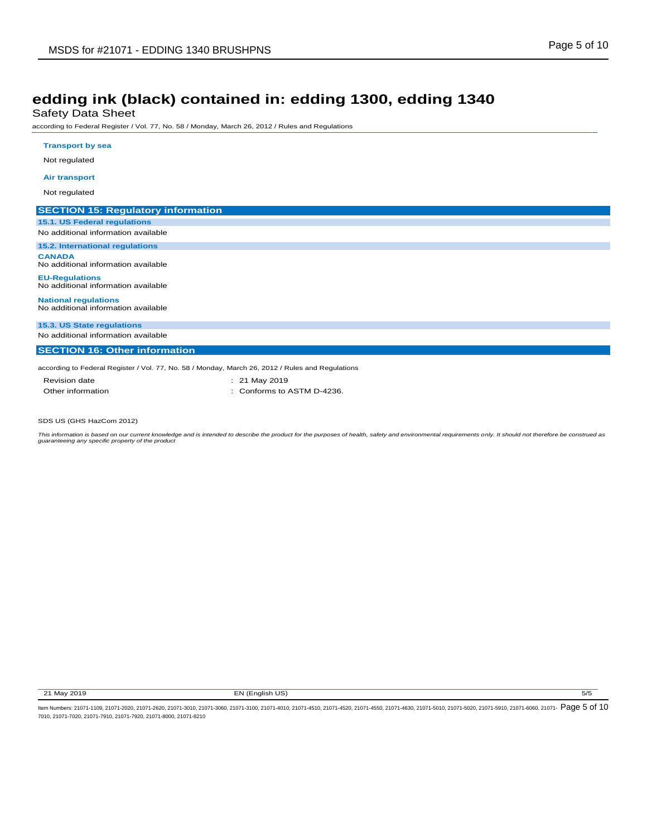Safety Data Sheet

according to Federal Register / Vol. 77, No. 58 / Monday, March 26, 2012 / Rules and Regulations

| <b>Transport by sea</b>                                            |                                                                                                  |  |
|--------------------------------------------------------------------|--------------------------------------------------------------------------------------------------|--|
| Not regulated                                                      |                                                                                                  |  |
| <b>Air transport</b>                                               |                                                                                                  |  |
| Not regulated                                                      |                                                                                                  |  |
| <b>SECTION 15: Regulatory information</b>                          |                                                                                                  |  |
| 15.1. US Federal regulations                                       |                                                                                                  |  |
| No additional information available                                |                                                                                                  |  |
| 15.2. International regulations                                    |                                                                                                  |  |
| <b>CANADA</b><br>No additional information available               |                                                                                                  |  |
| <b>EU-Regulations</b><br>No additional information available       |                                                                                                  |  |
| <b>National regulations</b><br>No additional information available |                                                                                                  |  |
| 15.3. US State regulations                                         |                                                                                                  |  |
| No additional information available                                |                                                                                                  |  |
| <b>SECTION 16: Other information</b>                               |                                                                                                  |  |
|                                                                    | according to Federal Register / Vol. 77, No. 58 / Monday, March 26, 2012 / Rules and Regulations |  |
| <b>Revision date</b>                                               | : 21 May 2019                                                                                    |  |
| Other information                                                  | Conforms to ASTM D-4236.                                                                         |  |

SDS US (GHS HazCom 2012)

This information is based on our current knowledge and is intended to describe the product for the purposes of health, safety and environmental requirements only. It should not therefore be construed as<br>guaranteeing any sp

21 May 2019 **EN (English US)** 5/5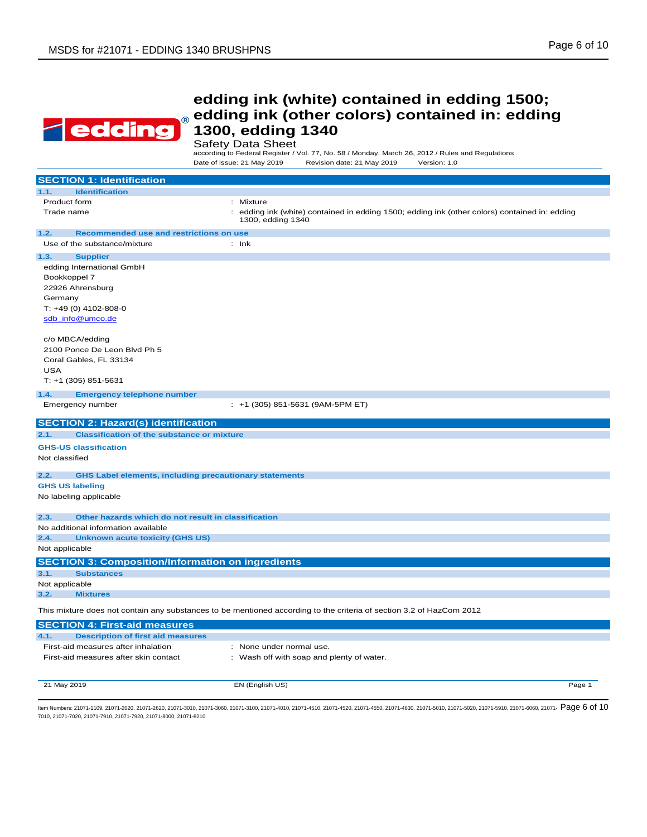

Safety Data Sheet<br>according to Federal Register / Vol. 77, No. 58 / Monday, March 26, 2012 / Rules and Regulations Date of issue: 21 May 2019 Revision date: 21 May 2019 Version: 1.0

| <b>SECTION 1: Identification</b>                                      |                                                                                                                       |
|-----------------------------------------------------------------------|-----------------------------------------------------------------------------------------------------------------------|
| <b>Identification</b><br>1.1.                                         |                                                                                                                       |
| Product form                                                          | : Mixture                                                                                                             |
| Trade name                                                            | edding ink (white) contained in edding 1500; edding ink (other colors) contained in: edding<br>÷<br>1300, edding 1340 |
| 1.2.<br>Recommended use and restrictions on use                       |                                                                                                                       |
| Use of the substance/mixture                                          | $:$ Ink                                                                                                               |
| 1.3.<br><b>Supplier</b>                                               |                                                                                                                       |
| edding International GmbH                                             |                                                                                                                       |
| Bookkoppel 7                                                          |                                                                                                                       |
| 22926 Ahrensburg                                                      |                                                                                                                       |
| Germany                                                               |                                                                                                                       |
| T: +49 (0) 4102-808-0                                                 |                                                                                                                       |
| sdb_info@umco.de                                                      |                                                                                                                       |
| c/o MBCA/edding                                                       |                                                                                                                       |
| 2100 Ponce De Leon Blvd Ph 5                                          |                                                                                                                       |
| Coral Gables, FL 33134                                                |                                                                                                                       |
| <b>USA</b>                                                            |                                                                                                                       |
| $T: +1$ (305) 851-5631                                                |                                                                                                                       |
| 1.4.<br><b>Emergency telephone number</b>                             |                                                                                                                       |
| Emergency number                                                      | : +1 (305) 851-5631 (9AM-5PM ET)                                                                                      |
|                                                                       |                                                                                                                       |
| <b>SECTION 2: Hazard(s) identification</b>                            |                                                                                                                       |
| <b>Classification of the substance or mixture</b><br>2.1.             |                                                                                                                       |
| <b>GHS-US classification</b>                                          |                                                                                                                       |
| Not classified                                                        |                                                                                                                       |
| <b>GHS Label elements, including precautionary statements</b><br>2.2. |                                                                                                                       |
| <b>GHS US labeling</b>                                                |                                                                                                                       |
| No labeling applicable                                                |                                                                                                                       |
|                                                                       |                                                                                                                       |
| Other hazards which do not result in classification<br>2.3.           |                                                                                                                       |
| No additional information available                                   |                                                                                                                       |
| <b>Unknown acute toxicity (GHS US)</b><br>2.4.                        |                                                                                                                       |
| Not applicable                                                        |                                                                                                                       |
| <b>SECTION 3: Composition/Information on ingredients</b>              |                                                                                                                       |
| <b>Substances</b><br>3.1.                                             |                                                                                                                       |
| Not applicable                                                        |                                                                                                                       |
| <b>Mixtures</b><br>3.2.                                               |                                                                                                                       |
|                                                                       | This mixture does not contain any substances to be mentioned according to the criteria of section 3.2 of HazCom 2012  |
| <b>SECTION 4: First-aid measures</b>                                  |                                                                                                                       |
| 4.1.<br><b>Description of first aid measures</b>                      |                                                                                                                       |
| First-aid measures after inhalation                                   | : None under normal use.                                                                                              |
| First-aid measures after skin contact                                 | : Wash off with soap and plenty of water.                                                                             |
|                                                                       |                                                                                                                       |
|                                                                       |                                                                                                                       |
| 21 May 2019                                                           | EN (English US)<br>Page 1                                                                                             |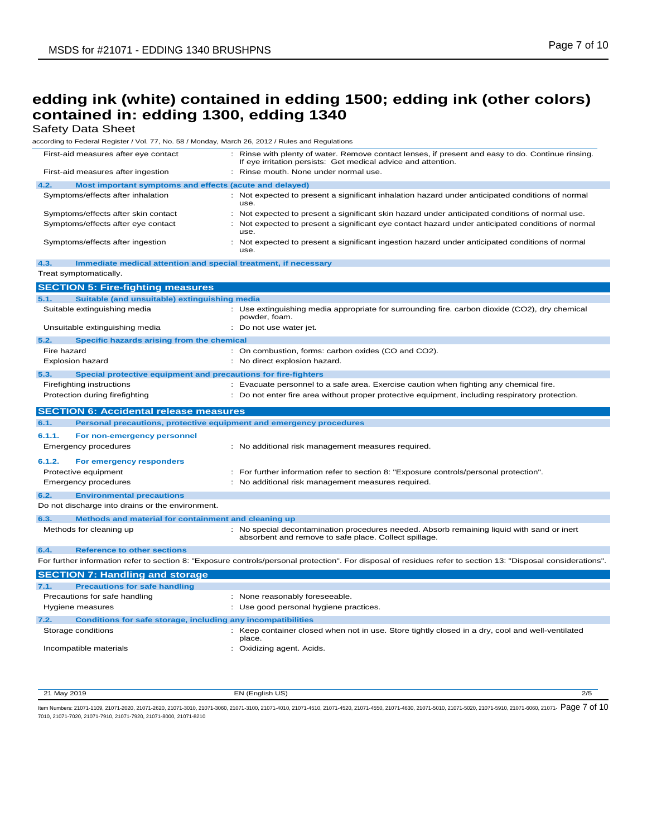Safety Data Sheet

according to Federal Register / Vol. 77, No. 58 / Monday, March 26, 2012 / Rules and Regulations

| First-aid measures after eye contact                                        | Rinse with plenty of water. Remove contact lenses, if present and easy to do. Continue rinsing.<br>If eye irritation persists: Get medical advice and attention. |
|-----------------------------------------------------------------------------|------------------------------------------------------------------------------------------------------------------------------------------------------------------|
| First-aid measures after ingestion                                          | : Rinse mouth. None under normal use.                                                                                                                            |
| 4.2.<br>Most important symptoms and effects (acute and delayed)             |                                                                                                                                                                  |
| Symptoms/effects after inhalation                                           | : Not expected to present a significant inhalation hazard under anticipated conditions of normal<br>use.                                                         |
| Symptoms/effects after skin contact                                         | : Not expected to present a significant skin hazard under anticipated conditions of normal use.                                                                  |
| Symptoms/effects after eye contact                                          | : Not expected to present a significant eye contact hazard under anticipated conditions of normal<br>use.                                                        |
| Symptoms/effects after ingestion                                            | : Not expected to present a significant ingestion hazard under anticipated conditions of normal<br>use.                                                          |
| Immediate medical attention and special treatment, if necessary<br>4.3.     |                                                                                                                                                                  |
| Treat symptomatically.                                                      |                                                                                                                                                                  |
| <b>SECTION 5: Fire-fighting measures</b>                                    |                                                                                                                                                                  |
| 5.1.<br>Suitable (and unsuitable) extinguishing media                       |                                                                                                                                                                  |
| Suitable extinguishing media                                                | : Use extinguishing media appropriate for surrounding fire. carbon dioxide (CO2), dry chemical<br>powder, foam.                                                  |
| Unsuitable extinguishing media                                              | : Do not use water jet.                                                                                                                                          |
| 5.2.<br>Specific hazards arising from the chemical                          |                                                                                                                                                                  |
| Fire hazard                                                                 | : On combustion, forms: carbon oxides (CO and CO2).                                                                                                              |
| <b>Explosion hazard</b>                                                     | : No direct explosion hazard.                                                                                                                                    |
| 5.3.<br>Special protective equipment and precautions for fire-fighters      |                                                                                                                                                                  |
| <b>Firefighting instructions</b>                                            | : Evacuate personnel to a safe area. Exercise caution when fighting any chemical fire.                                                                           |
| Protection during firefighting                                              | : Do not enter fire area without proper protective equipment, including respiratory protection.                                                                  |
|                                                                             |                                                                                                                                                                  |
|                                                                             |                                                                                                                                                                  |
| <b>SECTION 6: Accidental release measures</b>                               |                                                                                                                                                                  |
| 6.1.<br>Personal precautions, protective equipment and emergency procedures |                                                                                                                                                                  |
| 6.1.1.<br>For non-emergency personnel                                       |                                                                                                                                                                  |
| <b>Emergency procedures</b>                                                 | : No additional risk management measures required.                                                                                                               |
| 6.1.2.<br>For emergency responders                                          |                                                                                                                                                                  |
| Protective equipment                                                        | : For further information refer to section 8: "Exposure controls/personal protection".                                                                           |
| <b>Emergency procedures</b>                                                 | : No additional risk management measures required.                                                                                                               |
| 6.2.<br><b>Environmental precautions</b>                                    |                                                                                                                                                                  |
| Do not discharge into drains or the environment.                            |                                                                                                                                                                  |
| Methods and material for containment and cleaning up<br>6.3.                |                                                                                                                                                                  |
| Methods for cleaning up                                                     | : No special decontamination procedures needed. Absorb remaining liquid with sand or inert<br>absorbent and remove to safe place. Collect spillage.              |
|                                                                             |                                                                                                                                                                  |
| 6.4.<br><b>Reference to other sections</b>                                  |                                                                                                                                                                  |
|                                                                             | For further information refer to section 8: "Exposure controls/personal protection". For disposal of residues refer to section 13: "Disposal considerations".    |
| <b>SECTION 7: Handling and storage</b>                                      |                                                                                                                                                                  |
| 7.1.<br><b>Precautions for safe handling</b>                                |                                                                                                                                                                  |
| Precautions for safe handling                                               | : None reasonably foreseeable.                                                                                                                                   |
| Hygiene measures                                                            | : Use good personal hygiene practices.                                                                                                                           |
| 7.2.<br><b>Conditions for safe storage, including any incompatibilities</b> |                                                                                                                                                                  |
| Storage conditions                                                          | : Keep container closed when not in use. Store tightly closed in a dry, cool and well-ventilated<br>place.                                                       |

21 May 2019 EN (English US) 2/5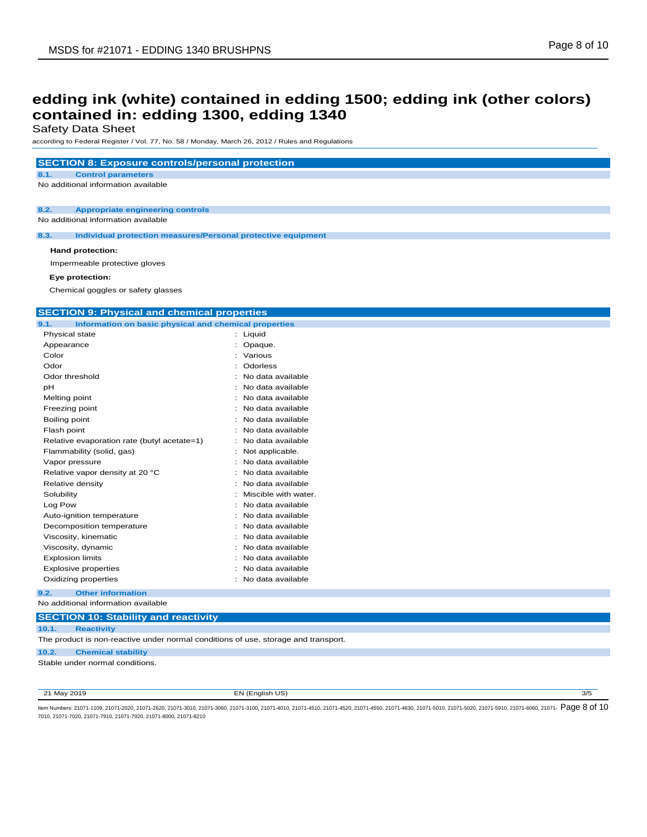Safety Data Sheet

according to Federal Register / Vol. 77, No. 58 / Monday, March 26, 2012 / Rules and Regulations

#### **SECTION 8: Exposure controls/personal protection**

**8.1. Control parameters**

No additional information available

**8.2. Appropriate engineering controls**

No additional information available

**8.3. Individual protection measures/Personal protective equipment**

#### **Hand protection:**

Impermeable protective gloves

#### **Eye protection:**

Chemical goggles or safety glasses

#### **SECTION 9: Physical and chemical properties**

| 9.1.<br>Information on basic physical and chemical properties |                        |
|---------------------------------------------------------------|------------------------|
| Physical state                                                | Liquid                 |
| Appearance                                                    | Opaque.                |
| Color                                                         | Various                |
| Odor                                                          | Odorless               |
| Odor threshold                                                | No data available      |
| pН                                                            | No data available      |
| Melting point                                                 | No data available      |
| Freezing point                                                | No data available      |
| Boiling point                                                 | No data available      |
| Flash point                                                   | No data available      |
| Relative evaporation rate (butyl acetate=1)                   | No data available      |
| Flammability (solid, gas)                                     | Not applicable.        |
| Vapor pressure                                                | No data available      |
| Relative vapor density at 20 °C                               | No data available      |
| Relative density                                              | No data available      |
| Solubility                                                    | Miscible with water.   |
| Log Pow                                                       | No data available      |
| Auto-ignition temperature                                     | No data available      |
| Decomposition temperature                                     | No data available<br>۰ |
| Viscosity, kinematic                                          | No data available      |
| Viscosity, dynamic                                            | No data available      |
| <b>Explosion limits</b>                                       | No data available      |
| <b>Explosive properties</b>                                   | No data available      |
| Oxidizing properties                                          | No data available      |

**9.2. Other information** No additional information available

#### **SECTION 10: Stability and reactivity 10.1. Reactivity** The product is non-reactive under normal conditions of use, storage and transport.

#### **10.2. Chemical stability**

Stable under normal conditions.

21 May 2019 EN (English US) 3/5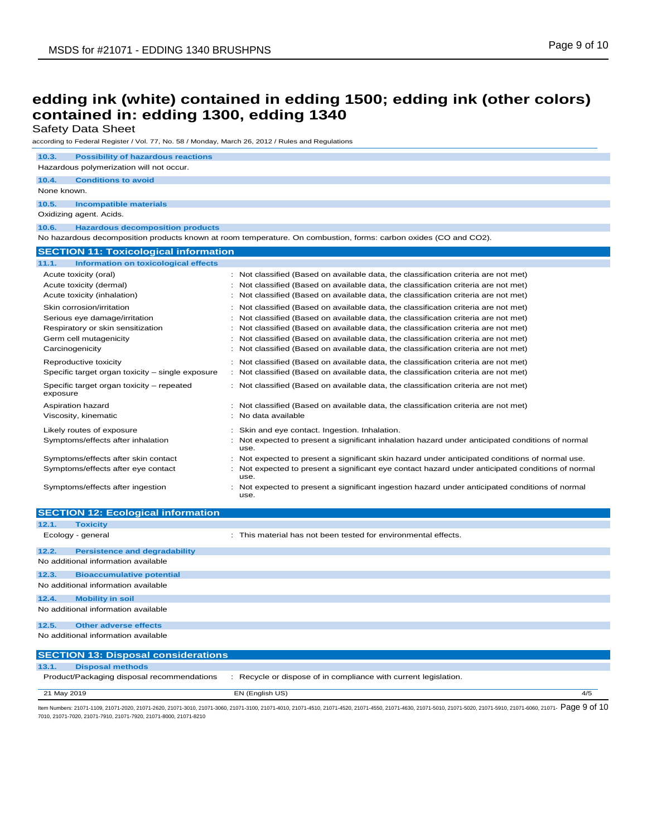| Safety Data Sheet                                                                                |                                                                                                                  |
|--------------------------------------------------------------------------------------------------|------------------------------------------------------------------------------------------------------------------|
| according to Federal Register / Vol. 77, No. 58 / Monday, March 26, 2012 / Rules and Regulations |                                                                                                                  |
| 10.3.<br><b>Possibility of hazardous reactions</b>                                               |                                                                                                                  |
| Hazardous polymerization will not occur.                                                         |                                                                                                                  |
| 10.4.<br><b>Conditions to avoid</b>                                                              |                                                                                                                  |
| None known.                                                                                      |                                                                                                                  |
| 10.5.<br><b>Incompatible materials</b>                                                           |                                                                                                                  |
| Oxidizing agent. Acids.                                                                          |                                                                                                                  |
| 10.6.<br><b>Hazardous decomposition products</b>                                                 |                                                                                                                  |
|                                                                                                  | No hazardous decomposition products known at room temperature. On combustion, forms: carbon oxides (CO and CO2). |
| <b>SECTION 11: Toxicological information</b>                                                     |                                                                                                                  |
| 11.1.<br><b>Information on toxicological effects</b>                                             |                                                                                                                  |
| Acute toxicity (oral)                                                                            | : Not classified (Based on available data, the classification criteria are not met)                              |
| Acute toxicity (dermal)                                                                          | Not classified (Based on available data, the classification criteria are not met)                                |
| Acute toxicity (inhalation)                                                                      | : Not classified (Based on available data, the classification criteria are not met)                              |
| Skin corrosion/irritation                                                                        | : Not classified (Based on available data, the classification criteria are not met)                              |
| Serious eye damage/irritation                                                                    | Not classified (Based on available data, the classification criteria are not met)                                |
| Respiratory or skin sensitization                                                                | Not classified (Based on available data, the classification criteria are not met)                                |
| Germ cell mutagenicity                                                                           | Not classified (Based on available data, the classification criteria are not met)                                |
| Carcinogenicity                                                                                  | Not classified (Based on available data, the classification criteria are not met)                                |
| Reproductive toxicity                                                                            | : Not classified (Based on available data, the classification criteria are not met)                              |
| Specific target organ toxicity - single exposure                                                 | Not classified (Based on available data, the classification criteria are not met)                                |
| Specific target organ toxicity - repeated<br>exposure                                            | : Not classified (Based on available data, the classification criteria are not met)                              |
| Aspiration hazard                                                                                | : Not classified (Based on available data, the classification criteria are not met)                              |
| Viscosity, kinematic                                                                             | No data available                                                                                                |
| Likely routes of exposure                                                                        | Skin and eye contact. Ingestion. Inhalation.                                                                     |
| Symptoms/effects after inhalation                                                                | Not expected to present a significant inhalation hazard under anticipated conditions of normal<br>use.           |
| Symptoms/effects after skin contact                                                              | Not expected to present a significant skin hazard under anticipated conditions of normal use.                    |
| Symptoms/effects after eye contact                                                               | Not expected to present a significant eye contact hazard under anticipated conditions of normal<br>use.          |
| Symptoms/effects after ingestion                                                                 | Not expected to present a significant ingestion hazard under anticipated conditions of normal                    |

|       | <b>SECTION 12: Ecological information</b>  |                                                                 |
|-------|--------------------------------------------|-----------------------------------------------------------------|
| 12.1. | <b>Toxicity</b>                            |                                                                 |
|       | Ecology - general                          | : This material has not been tested for environmental effects.  |
| 12.2. | <b>Persistence and degradability</b>       |                                                                 |
|       | No additional information available        |                                                                 |
| 12.3. | <b>Bioaccumulative potential</b>           |                                                                 |
|       | No additional information available        |                                                                 |
| 12.4. | <b>Mobility in soil</b>                    |                                                                 |
|       | No additional information available        |                                                                 |
| 12.5. | <b>Other adverse effects</b>               |                                                                 |
|       | No additional information available        |                                                                 |
|       | <b>SECTION 13: Disposal considerations</b> |                                                                 |
| 13.1. | <b>Disposal methods</b>                    |                                                                 |
|       | Product/Packaging disposal recommendations | : Recycle or dispose of in compliance with current legislation. |

use.

21 May 2019 EN (English US) 4/5